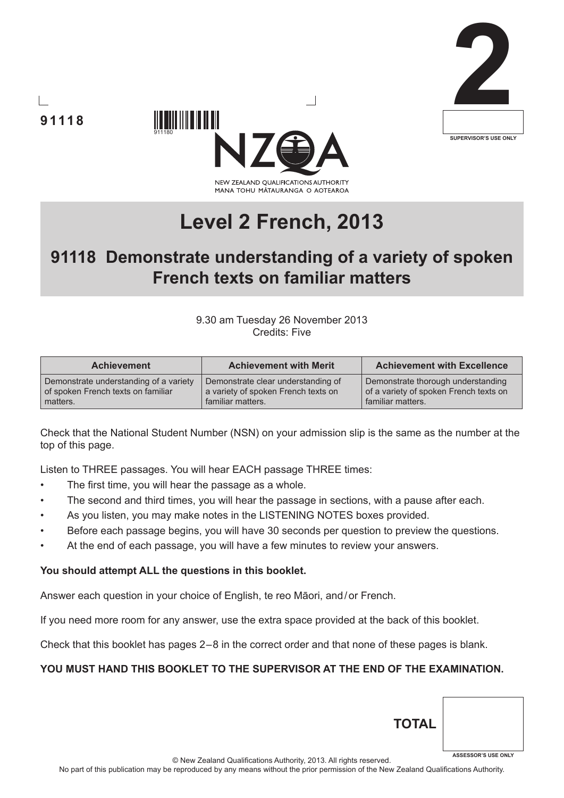





# **Level 2 French, 2013**

# **91118 Demonstrate understanding of a variety of spoken French texts on familiar matters**

#### 9.30 am Tuesday 26 November 2013 Credits: Five

| <b>Achievement</b>                     | <b>Achievement with Merit</b>       | <b>Achievement with Excellence</b>     |
|----------------------------------------|-------------------------------------|----------------------------------------|
| Demonstrate understanding of a variety | Demonstrate clear understanding of  | Demonstrate thorough understanding     |
| of spoken French texts on familiar     | a variety of spoken French texts on | of a variety of spoken French texts on |
| matters.                               | familiar matters.                   | familiar matters.                      |

Check that the National Student Number (NSN) on your admission slip is the same as the number at the top of this page.

Listen to THREE passages. You will hear EACH passage THREE times:

- The first time, you will hear the passage as a whole.
- The second and third times, you will hear the passage in sections, with a pause after each.
- As you listen, you may make notes in the LISTENING NOTES boxes provided.
- Before each passage begins, you will have 30 seconds per question to preview the questions.
- At the end of each passage, you will have a few minutes to review your answers.

#### **You should attempt ALL the questions in this booklet.**

Answer each question in your choice of English, te reo Māori, and/or French.

If you need more room for any answer, use the extra space provided at the back of this booklet.

Check that this booklet has pages 2 – 8 in the correct order and that none of these pages is blank.

#### **YOU MUST HAND THIS BOOKLET TO THE SUPERVISOR AT THE END OF THE EXAMINATION.**

| © New Zealand Qualifications Authority, 2013. All rights reserved. | <b>ASSESSOR'S USE ONLY</b> |
|--------------------------------------------------------------------|----------------------------|

**TOTAL**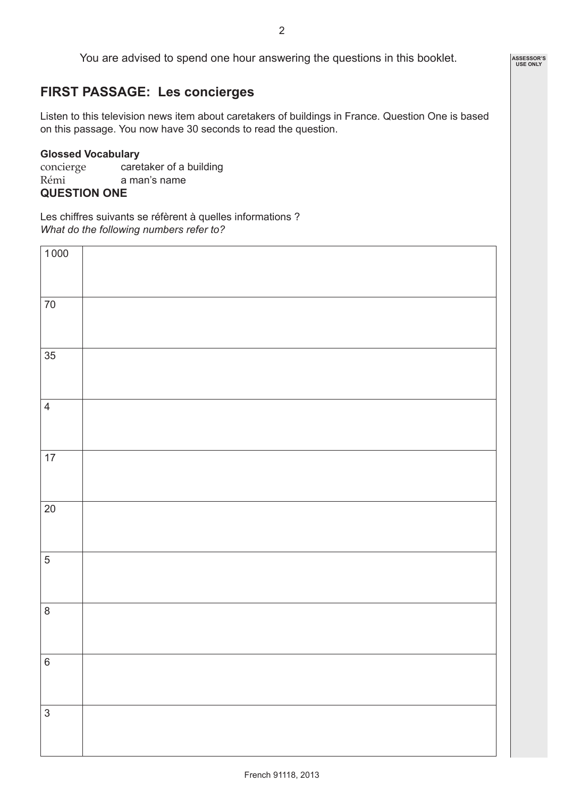# **FIRST PASSAGE: Les concierges**

Listen to this television news item about caretakers of buildings in France. Question One is based on this passage. You now have 30 seconds to read the question.

#### **Glossed Vocabulary**

concierge caretaker of a building Rémi a man's name

#### **QUESTION ONE**

Les chiffres suivants se réfèrent à quelles informations ? *What do the following numbers refer to?*

| $\frac{1000}{1000}$     |  |
|-------------------------|--|
|                         |  |
|                         |  |
|                         |  |
| $70\,$                  |  |
|                         |  |
|                         |  |
|                         |  |
| 35                      |  |
|                         |  |
|                         |  |
|                         |  |
| $\overline{\mathbf{4}}$ |  |
|                         |  |
|                         |  |
|                         |  |
|                         |  |
| 17                      |  |
|                         |  |
|                         |  |
|                         |  |
| $\overline{20}$         |  |
|                         |  |
|                         |  |
|                         |  |
| $\overline{5}$          |  |
|                         |  |
|                         |  |
|                         |  |
| $\overline{\bf 8}$      |  |
|                         |  |
|                         |  |
|                         |  |
| 6                       |  |
|                         |  |
|                         |  |
|                         |  |
| $\mathfrak{S}$          |  |
|                         |  |
|                         |  |
|                         |  |

**ASSESSOR'S USE ONLY**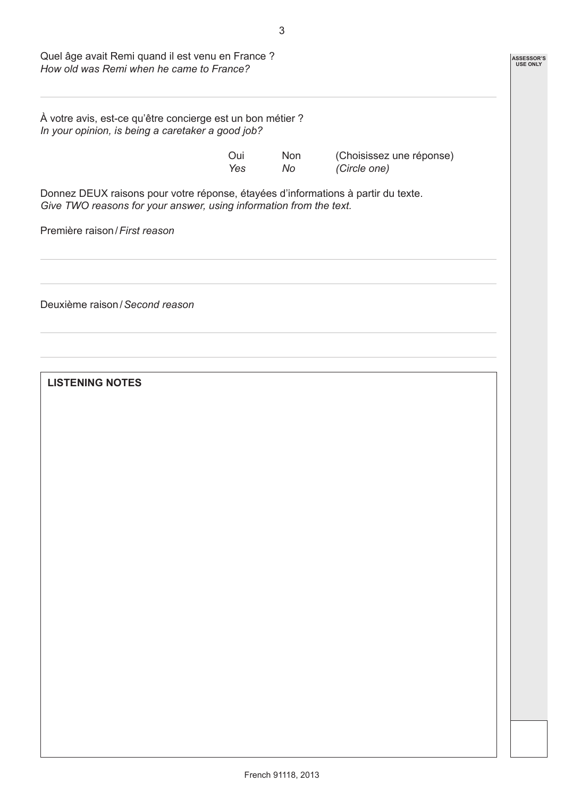| Quel âge avait Remi quand il est venu en France ?<br>How old was Remi when he came to France?                                                           |                    |                  |                                          |  |
|---------------------------------------------------------------------------------------------------------------------------------------------------------|--------------------|------------------|------------------------------------------|--|
| À votre avis, est-ce qu'être concierge est un bon métier ?<br>In your opinion, is being a caretaker a good job?                                         |                    |                  |                                          |  |
|                                                                                                                                                         | Oui.<br><b>Yes</b> | <b>Non</b><br>No | (Choisissez une réponse)<br>(Circle one) |  |
| Donnez DEUX raisons pour votre réponse, étayées d'informations à partir du texte.<br>Give TWO reasons for your answer, using information from the text. |                    |                  |                                          |  |
| Première raison / First reason                                                                                                                          |                    |                  |                                          |  |
|                                                                                                                                                         |                    |                  |                                          |  |
| Deuxième raison / Second reason                                                                                                                         |                    |                  |                                          |  |
|                                                                                                                                                         |                    |                  |                                          |  |
| <b>LISTENING NOTES</b>                                                                                                                                  |                    |                  |                                          |  |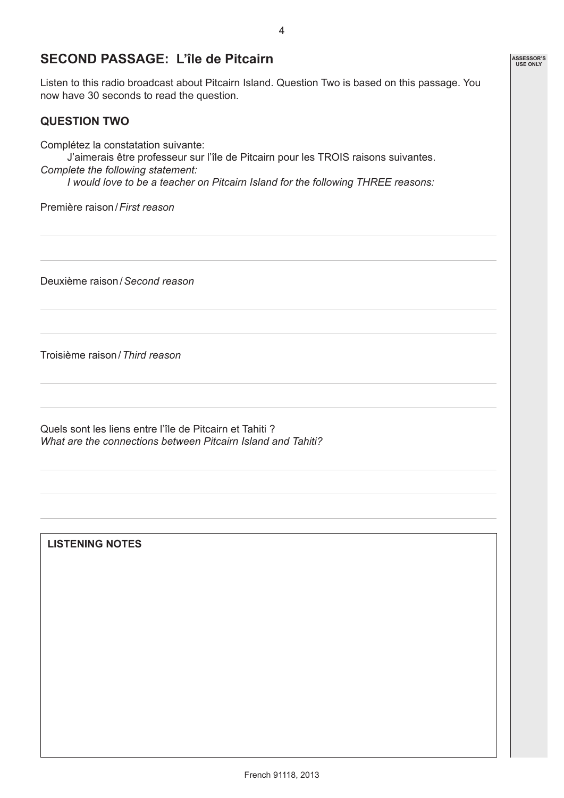### **SECOND PASSAGE: L'île de Pitcairn**

Listen to this radio broadcast about Pitcairn Island. Question Two is based on this passage. You now have 30 seconds to read the question.

#### **QUESTION TWO**

Complétez la constatation suivante:

J'aimerais être professeur sur l'île de Pitcairn pour les TROIS raisons suivantes. *Complete the following statement:*

*I would love to be a teacher on Pitcairn Island for the following THREE reasons:*

Première raison/*First reason*

Deuxième raison/*Second reason*

Troisième raison/*Third reason*

Quels sont les liens entre l'île de Pitcairn et Tahiti ? *What are the connections between Pitcairn Island and Tahiti?*

**LISTENING NOTES**

**ASSESSOR'S USE ONLY**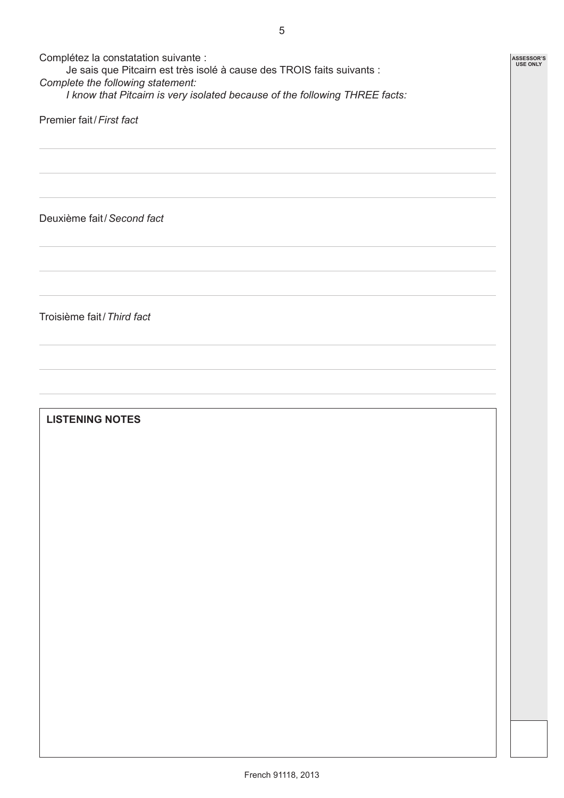| Complétez la constatation suivante :<br>Je sais que Pitcairn est très isolé à cause des TROIS faits suivants :<br>Complete the following statement:<br>I know that Pitcairn is very isolated because of the following THREE facts: |  |  |  |  |
|------------------------------------------------------------------------------------------------------------------------------------------------------------------------------------------------------------------------------------|--|--|--|--|
| Premier fait / First fact                                                                                                                                                                                                          |  |  |  |  |
|                                                                                                                                                                                                                                    |  |  |  |  |
|                                                                                                                                                                                                                                    |  |  |  |  |
| Deuxième fait / Second fact                                                                                                                                                                                                        |  |  |  |  |
|                                                                                                                                                                                                                                    |  |  |  |  |
|                                                                                                                                                                                                                                    |  |  |  |  |
| Troisième fait / Third fact                                                                                                                                                                                                        |  |  |  |  |
|                                                                                                                                                                                                                                    |  |  |  |  |
|                                                                                                                                                                                                                                    |  |  |  |  |
| <b>LISTENING NOTES</b>                                                                                                                                                                                                             |  |  |  |  |
|                                                                                                                                                                                                                                    |  |  |  |  |
|                                                                                                                                                                                                                                    |  |  |  |  |
|                                                                                                                                                                                                                                    |  |  |  |  |
|                                                                                                                                                                                                                                    |  |  |  |  |
|                                                                                                                                                                                                                                    |  |  |  |  |
|                                                                                                                                                                                                                                    |  |  |  |  |
|                                                                                                                                                                                                                                    |  |  |  |  |
|                                                                                                                                                                                                                                    |  |  |  |  |
|                                                                                                                                                                                                                                    |  |  |  |  |
|                                                                                                                                                                                                                                    |  |  |  |  |
|                                                                                                                                                                                                                                    |  |  |  |  |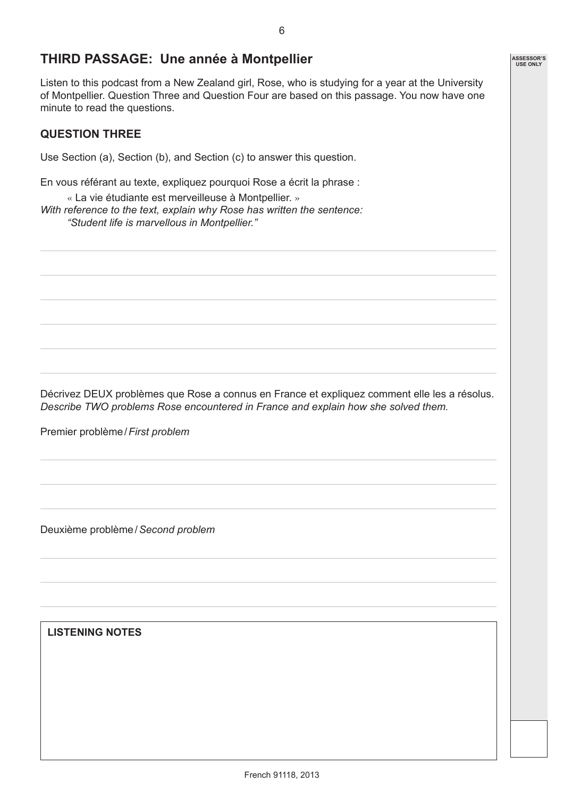## **THIRD PASSAGE: Une année à Montpellier**

Listen to this podcast from a New Zealand girl, Rose, who is studying for a year at the University of Montpellier. Question Three and Question Four are based on this passage. You now have one minute to read the questions.

#### **QUESTION THREE**

Use Section (a), Section (b), and Section (c) to answer this question.

En vous référant au texte, expliquez pourquoi Rose a écrit la phrase :

« La vie étudiante est merveilleuse à Montpellier. » *With reference to the text, explain why Rose has written the sentence: "Student life is marvellous in Montpellier."*

Décrivez DEUX problèmes que Rose a connus en France et expliquez comment elle les a résolus. *Describe TWO problems Rose encountered in France and explain how she solved them.*

Premier problème / *First problem*

Deuxième problème / *Second problem*

**LISTENING NOTES**

**ASSESSOR'S USE ONLY**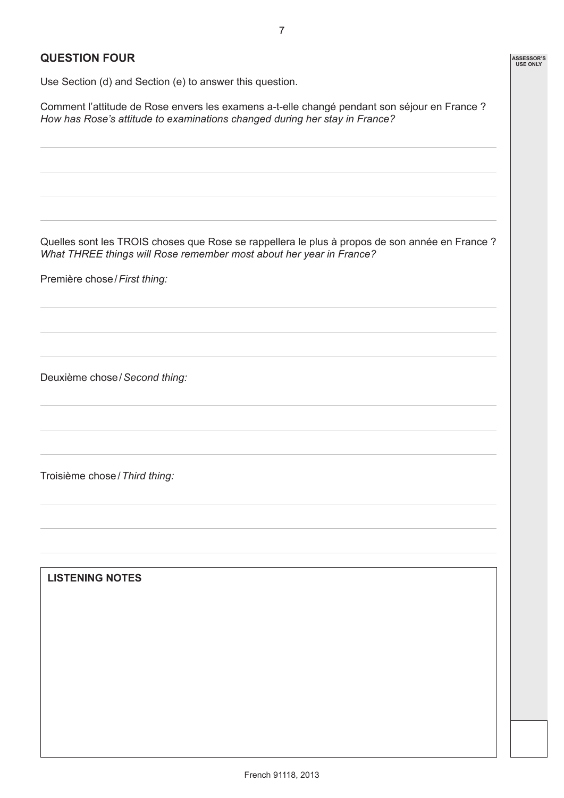**ASSESSOR'S USE ONLY**

#### **QUESTION FOUR**

Use Section (d) and Section (e) to answer this question.

Comment l'attitude de Rose envers les examens a-t-elle changé pendant son séjour en France ? *How has Rose's attitude to examinations changed during her stay in France?*

Quelles sont les TROIS choses que Rose se rappellera le plus à propos de son année en France ? *What THREE things will Rose remember most about her year in France?*

Première chose / *First thing:*

Deuxième chose / *Second thing:*

Troisième chose / *Third thing:*

**LISTENING NOTES**